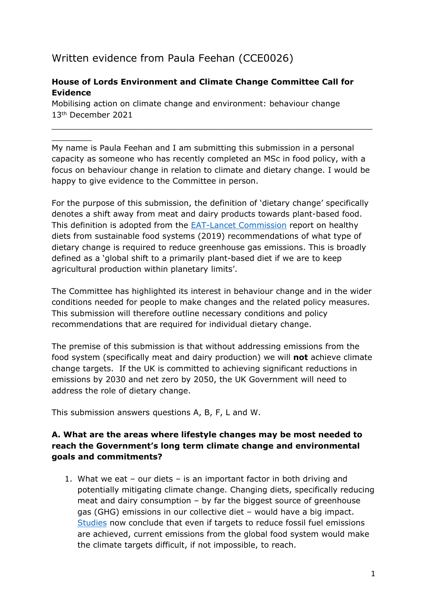# Written evidence from Paula Feehan (CCE0026)

 $\overline{\phantom{a}}$ 

## **House of Lords Environment and Climate Change Committee Call for Evidence**

Mobilising action on climate change and environment: behaviour change 13th December 2021

My name is Paula Feehan and I am submitting this submission in a personal capacity as someone who has recently completed an MSc in food policy, with a focus on behaviour change in relation to climate and dietary change. I would be happy to give evidence to the Committee in person.

 $\_$  , and the contribution of the contribution of  $\mathcal{L}_\mathcal{A}$  , and the contribution of  $\mathcal{L}_\mathcal{A}$ 

For the purpose of this submission, the definition of 'dietary change' specifically denotes a shift away from meat and dairy products towards plant-based food. This definition is adopted from the [EAT-Lancet](https://eatforum.org/eat-lancet-commission/eat-lancet-commission-summary-report/) [Commission](https://eatforum.org/eat-lancet-commission/eat-lancet-commission-summary-report/) report on healthy diets from sustainable food systems (2019) recommendations of what type of dietary change is required to reduce greenhouse gas emissions. This is broadly defined as a 'global shift to a primarily plant-based diet if we are to keep agricultural production within planetary limits'.

The Committee has highlighted its interest in behaviour change and in the wider conditions needed for people to make changes and the related policy measures. This submission will therefore outline necessary conditions and policy recommendations that are required for individual dietary change.

The premise of this submission is that without addressing emissions from the food system (specifically meat and dairy production) we will **not** achieve climate change targets. If the UK is committed to achieving significant reductions in emissions by 2030 and net zero by 2050, the UK Government will need to address the role of dietary change.

This submission answers questions A, B, F, L and W.

### **A. What are the areas where lifestyle changes may be most needed to reach the Government's long term climate change and environmental goals and commitments?**

1. What we eat – our diets – is an important factor in both driving and potentially mitigating climate change. Changing diets, specifically reducing meat and dairy consumption – by far the biggest source of greenhouse gas (GHG) emissions in our collective diet – would have a big impact. [Studies](https://vanguardrenewables.com/wp-content/uploads/2020/12/Global-Food-System-Emissions-Science-Magazine-110620.pdf) now conclude that even if targets to reduce fossil fuel emissions are achieved, current emissions from the global food system would make the climate targets difficult, if not impossible, to reach.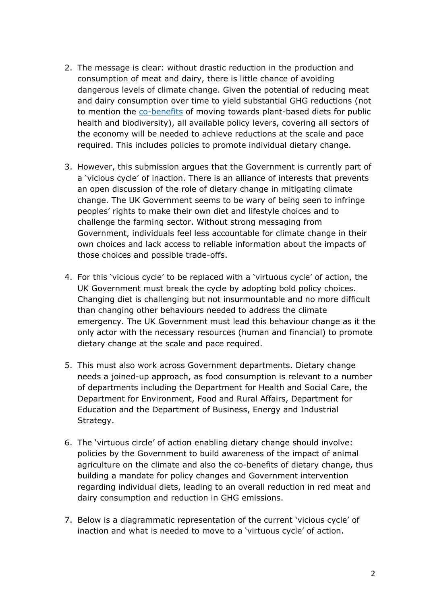- 2. The message is clear: without drastic reduction in the production and consumption of meat and dairy, there is little chance of avoiding dangerous levels of climate change. Given the potential of reducing meat and dairy consumption over time to yield substantial GHG reductions (not to mention the [co-benefits](https://eatforum.org/content/uploads/2019/07/EAT-Lancet_Commission_Summary_Report.pdf) of moving towards plant-based diets for public health and biodiversity), all available policy levers, covering all sectors of the economy will be needed to achieve reductions at the scale and pace required. This includes policies to promote individual dietary change.
- 3. However, this submission argues that the Government is currently part of a 'vicious cycle' of inaction. There is an alliance of interests that prevents an open discussion of the role of dietary change in mitigating climate change. The UK Government seems to be wary of being seen to infringe peoples' rights to make their own diet and lifestyle choices and to challenge the farming sector. Without strong messaging from Government, individuals feel less accountable for climate change in their own choices and lack access to reliable information about the impacts of those choices and possible trade-offs.
- 4. For this 'vicious cycle' to be replaced with a 'virtuous cycle' of action, the UK Government must break the cycle by adopting bold policy choices. Changing diet is challenging but not insurmountable and no more difficult than changing other behaviours needed to address the climate emergency. The UK Government must lead this behaviour change as it the only actor with the necessary resources (human and financial) to promote dietary change at the scale and pace required.
- 5. This must also work across Government departments. Dietary change needs a joined-up approach, as food consumption is relevant to a number of departments including the Department for Health and Social Care, the Department for Environment, Food and Rural Affairs, Department for Education and the Department of Business, Energy and Industrial Strategy.
- 6. The 'virtuous circle' of action enabling dietary change should involve: policies by the Government to build awareness of the impact of animal agriculture on the climate and also the co-benefits of dietary change, thus building a mandate for policy changes and Government intervention regarding individual diets, leading to an overall reduction in red meat and dairy consumption and reduction in GHG emissions.
- 7. Below is a diagrammatic representation of the current 'vicious cycle' of inaction and what is needed to move to a 'virtuous cycle' of action.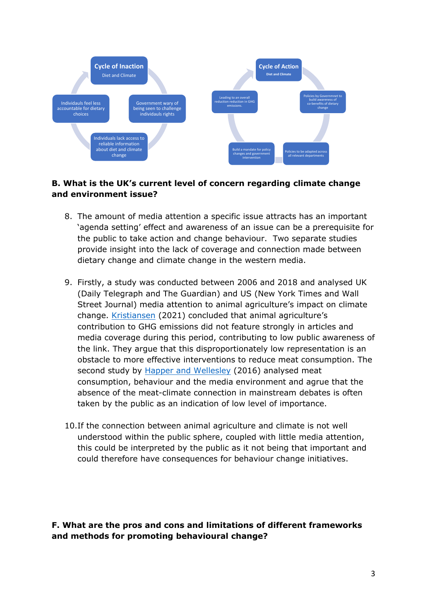

# **B. What is the UK's current level of concern regarding climate change and environment issue?**

- 8. The amount of media attention a specific issue attracts has an important 'agenda setting' effect and awareness of an issue can be a prerequisite for the public to take action and change behaviour. Two separate studies provide insight into the lack of coverage and connection made between dietary change and climate change in the western media.
- 9. Firstly, a study was conducted between 2006 and 2018 and analysed UK (Daily Telegraph and The Guardian) and US (New York Times and Wall Street Journal) media attention to animal agriculture's impact on climate change. [Kristiansen](https://www.tandfonline.com/doi/pdf/10.1080/17524032.2020.1805344) (2021) concluded that animal agriculture's contribution to GHG emissions did not feature strongly in articles and media coverage during this period, contributing to low public awareness of the link. They argue that this disproportionately low representation is an obstacle to more effective interventions to reduce meat consumption. The second study by [Happer](https://link.springer.com/article/10.1007/s12571-018-0877-1) [and](https://link.springer.com/article/10.1007/s12571-018-0877-1) [Wellesley](https://link.springer.com/article/10.1007/s12571-018-0877-1) (2016) analysed meat consumption, behaviour and the media environment and agrue that the absence of the meat-climate connection in mainstream debates is often taken by the public as an indication of low level of importance.
- 10.If the connection between animal agriculture and climate is not well understood within the public sphere, coupled with little media attention, this could be interpreted by the public as it not being that important and could therefore have consequences for behaviour change initiatives.

**F. What are the pros and cons and limitations of different frameworks and methods for promoting behavioural change?**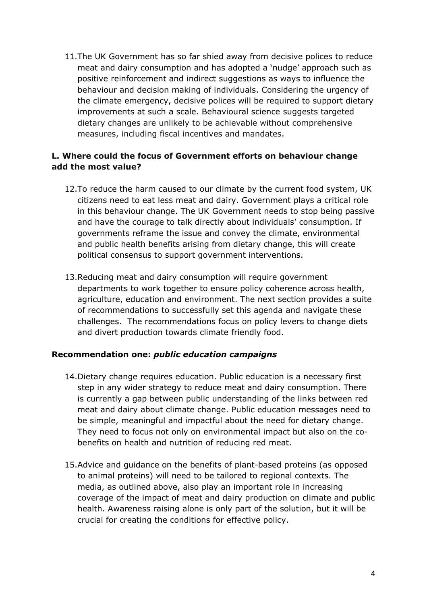11.The UK Government has so far shied away from decisive polices to reduce meat and dairy consumption and has adopted a 'nudge' approach such as positive reinforcement and indirect suggestions as ways to influence the behaviour and decision making of individuals. Considering the urgency of the climate emergency, decisive polices will be required to support dietary improvements at such a scale. [Behavioural](https://doi.org/10.1161/circulationaha.115.018585) [science](https://doi.org/10.1161/circulationaha.115.018585) suggests targeted dietary changes are unlikely to be achievable without comprehensive measures, including fiscal incentives and mandates.

## **L. Where could the focus of Government efforts on behaviour change add the most value?**

- 12.To reduce the harm caused to our climate by the current food system, UK citizens need to eat less meat and dairy. Government plays a critical role in this behaviour change. The UK Government needs to stop being passive and have the courage to talk directly about individuals' consumption. If governments reframe the issue and convey the climate, environmental and public health benefits arising from dietary change, this will create political consensus to support government interventions.
- 13.Reducing meat and dairy consumption will require government departments to work together to ensure policy coherence across health, agriculture, education and environment. The next section provides a suite of recommendations to successfully set this agenda and navigate these challenges. The recommendations focus on policy levers to change diets and divert production towards climate friendly food.

#### **Recommendation one:** *public education campaigns*

- 14.Dietary change requires education. Public education is a necessary first step in any wider strategy to reduce meat and dairy consumption. There is currently a gap between public understanding of the links between red meat and dairy about climate change. Public education messages need to be simple, meaningful and impactful about the need for dietary change. They need to focus not only on environmental impact but also on the cobenefits on health and nutrition of reducing red meat.
- 15.Advice and guidance on the benefits of plant-based proteins (as opposed to animal proteins) will need to be tailored to regional contexts. The media, as outlined above, also play an important role in increasing coverage of the impact of meat and dairy production on climate and public health. Awareness raising alone is only part of the solution, but it will be crucial for creating the conditions for effective policy.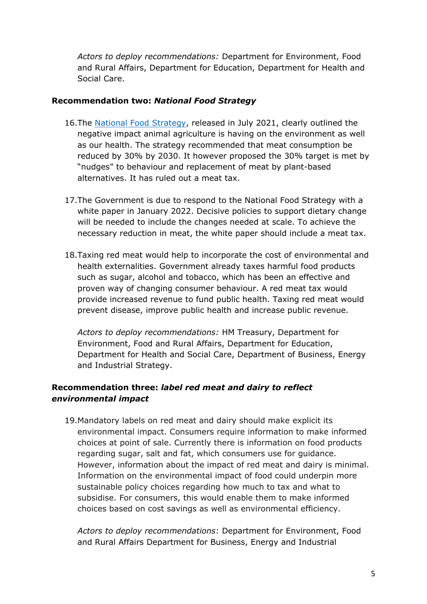*Actors to deploy recommendations:* Department for Environment, Food and Rural Affairs, Department for Education, Department for Health and Social Care.

#### **Recommendation two:** *National Food Strategy*

- 16.The [National](https://www.nationalfoodstrategy.org/) [Food](https://www.nationalfoodstrategy.org/) [Strategy](https://www.nationalfoodstrategy.org/), released in July 2021, clearly outlined the negative impact animal agriculture is having on the environment as well as our health. The strategy recommended that meat consumption be reduced by 30% by 2030. It however proposed the 30% target is met by "nudges" to behaviour and replacement of meat by plant-based alternatives. It has ruled out a meat tax.
- 17.The Government is due to respond to the National Food Strategy with a white paper in January 2022. Decisive policies to support dietary change will be needed to include the changes needed at scale. To achieve the necessary reduction in meat, the white paper should include a meat tax.
- 18.Taxing red meat would help to incorporate the cost of environmental and health externalities. Government already taxes harmful food products such as sugar, alcohol and tobacco, which has been an effective and proven way of changing consumer behaviour. A red meat tax would provide increased revenue to fund public health. Taxing red meat would prevent disease, improve public health and increase public revenue.

*Actors to deploy recommendations:* HM Treasury, Department for Environment, Food and Rural Affairs, Department for Education, Department for Health and Social Care, Department of Business, Energy and Industrial Strategy.

### **Recommendation three:** *label red meat and dairy to reflect environmental impact*

19.Mandatory labels on red meat and dairy should make explicit its environmental impact. Consumers require information to make informed choices at point of sale. Currently there is information on food products regarding sugar, salt and fat, which consumers use for guidance. However, information about the impact of red meat and dairy is minimal. Information on the environmental impact of food could underpin more sustainable policy choices regarding how much to tax and what to subsidise. For consumers, this would enable them to make informed choices based on cost savings as well as environmental efficiency.

*Actors to deploy recommendations*: Department for Environment, Food and Rural Affairs Department for Business, Energy and Industrial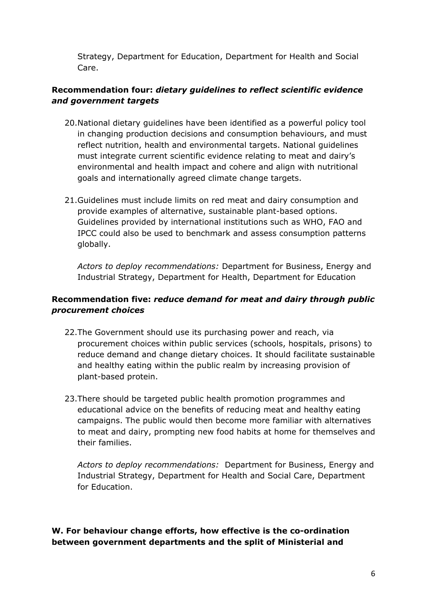Strategy, Department for Education, Department for Health and Social Care.

# **Recommendation four:** *dietary guidelines to reflect scientific evidence and government targets*

- 20.National dietary guidelines have been identified as a powerful policy tool in changing production decisions and consumption behaviours, and must reflect nutrition, health and environmental targets. National guidelines must integrate current scientific evidence relating to meat and dairy's environmental and health impact and cohere and align with nutritional goals and internationally agreed climate change targets.
- 21.Guidelines must include limits on red meat and dairy consumption and provide examples of alternative, sustainable plant-based options. Guidelines provided by international institutions such as WHO, FAO and IPCC could also be used to benchmark and assess consumption patterns globally.

*Actors to deploy recommendations:* Department for Business, Energy and Industrial Strategy, Department for Health, Department for Education

### **Recommendation five:** *reduce demand for meat and dairy through public procurement choices*

- 22.The Government should use its purchasing power and reach, via procurement choices within public services (schools, hospitals, prisons) to reduce demand and change dietary choices. It should facilitate sustainable and healthy eating within the public realm by increasing provision of plant-based protein.
- 23.There should be targeted public health promotion programmes and educational advice on the benefits of reducing meat and healthy eating campaigns. The public would then become more familiar with alternatives to meat and dairy, prompting new food habits at home for themselves and their families.

*Actors to deploy recommendations:* Department for Business, Energy and Industrial Strategy, Department for Health and Social Care, Department for Education.

**W. For behaviour change efforts, how effective is the co-ordination between government departments and the split of Ministerial and**